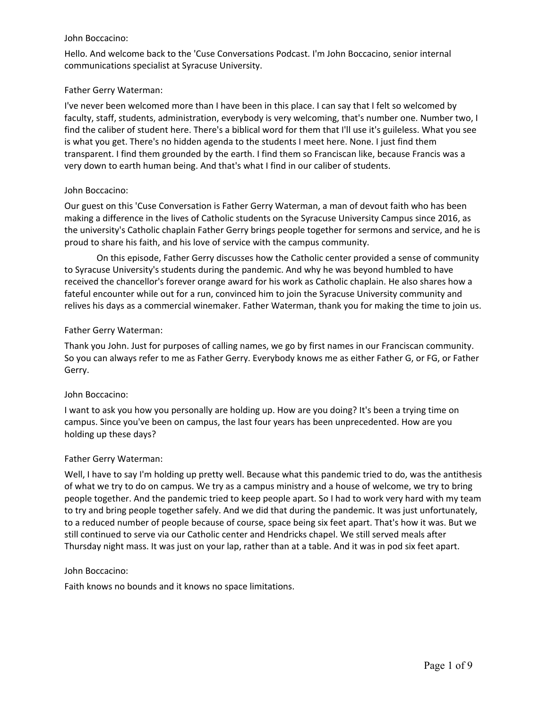### John Boccacino:

Hello. And welcome back to the 'Cuse Conversations Podcast. I'm John Boccacino, senior internal communications specialist at Syracuse University.

### Father Gerry Waterman:

I've never been welcomed more than I have been in this place. I can say that I felt so welcomed by faculty, staff, students, administration, everybody is very welcoming, that's number one. Number two, I find the caliber of student here. There's a biblical word for them that I'll use it's guileless. What you see is what you get. There's no hidden agenda to the students I meet here. None. I just find them transparent. I find them grounded by the earth. I find them so Franciscan like, because Francis was a very down to earth human being. And that's what I find in our caliber of students.

## John Boccacino:

Our guest on this 'Cuse Conversation is Father Gerry Waterman, a man of devout faith who has been making a difference in the lives of Catholic students on the Syracuse University Campus since 2016, as the university's Catholic chaplain Father Gerry brings people together for sermons and service, and he is proud to share his faith, and his love of service with the campus community.

 On this episode, Father Gerry discusses how the Catholic center provided a sense of community fateful encounter while out for a run, convinced him to join the Syracuse University community and relives his days as a commercial winemaker. Father Waterman, thank you for making the time to join us. to Syracuse University's students during the pandemic. And why he was beyond humbled to have received the chancellor's forever orange award for his work as Catholic chaplain. He also shares how a

## Father Gerry Waterman:

Thank you John. Just for purposes of calling names, we go by first names in our Franciscan community. So you can always refer to me as Father Gerry. Everybody knows me as either Father G, or FG, or Father Gerry.

## John Boccacino:

I want to ask you how you personally are holding up. How are you doing? It's been a trying time on campus. Since you've been on campus, the last four years has been unprecedented. How are you holding up these days?

## Father Gerry Waterman:

Well, I have to say I'm holding up pretty well. Because what this pandemic tried to do, was the antithesis of what we try to do on campus. We try as a campus ministry and a house of welcome, we try to bring people together. And the pandemic tried to keep people apart. So I had to work very hard with my team to try and bring people together safely. And we did that during the pandemic. It was just unfortunately, to a reduced number of people because of course, space being six feet apart. That's how it was. But we still continued to serve via our Catholic center and Hendricks chapel. We still served meals after Thursday night mass. It was just on your lap, rather than at a table. And it was in pod six feet apart.

## John Boccacino:

Faith knows no bounds and it knows no space limitations.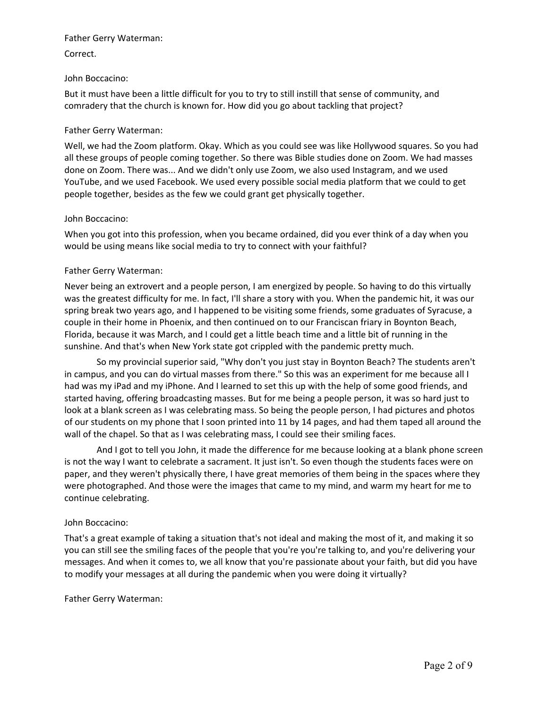### Father Gerry Waterman:

## Correct.

## John Boccacino:

But it must have been a little difficult for you to try to still instill that sense of community, and comradery that the church is known for. How did you go about tackling that project?

## Father Gerry Waterman:

Well, we had the Zoom platform. Okay. Which as you could see was like Hollywood squares. So you had all these groups of people coming together. So there was Bible studies done on Zoom. We had masses done on Zoom. There was... And we didn't only use Zoom, we also used Instagram, and we used YouTube, and we used Facebook. We used every possible social media platform that we could to get people together, besides as the few we could grant get physically together.

## John Boccacino:

When you got into this profession, when you became ordained, did you ever think of a day when you would be using means like social media to try to connect with your faithful?

# Father Gerry Waterman:

Never being an extrovert and a people person, I am energized by people. So having to do this virtually was the greatest difficulty for me. In fact, I'll share a story with you. When the pandemic hit, it was our spring break two years ago, and I happened to be visiting some friends, some graduates of Syracuse, a couple in their home in Phoenix, and then continued on to our Franciscan friary in Boynton Beach, Florida, because it was March, and I could get a little beach time and a little bit of running in the sunshine. And that's when New York state got crippled with the pandemic pretty much.

 of our students on my phone that I soon printed into 11 by 14 pages, and had them taped all around the So my provincial superior said, "Why don't you just stay in Boynton Beach? The students aren't in campus, and you can do virtual masses from there." So this was an experiment for me because all I had was my iPad and my iPhone. And I learned to set this up with the help of some good friends, and started having, offering broadcasting masses. But for me being a people person, it was so hard just to look at a blank screen as I was celebrating mass. So being the people person, I had pictures and photos wall of the chapel. So that as I was celebrating mass, I could see their smiling faces.

 And I got to tell you John, it made the difference for me because looking at a blank phone screen is not the way I want to celebrate a sacrament. It just isn't. So even though the students faces were on paper, and they weren't physically there, I have great memories of them being in the spaces where they were photographed. And those were the images that came to my mind, and warm my heart for me to continue celebrating.

## John Boccacino:

 to modify your messages at all during the pandemic when you were doing it virtually? That's a great example of taking a situation that's not ideal and making the most of it, and making it so you can still see the smiling faces of the people that you're you're talking to, and you're delivering your messages. And when it comes to, we all know that you're passionate about your faith, but did you have

## Father Gerry Waterman: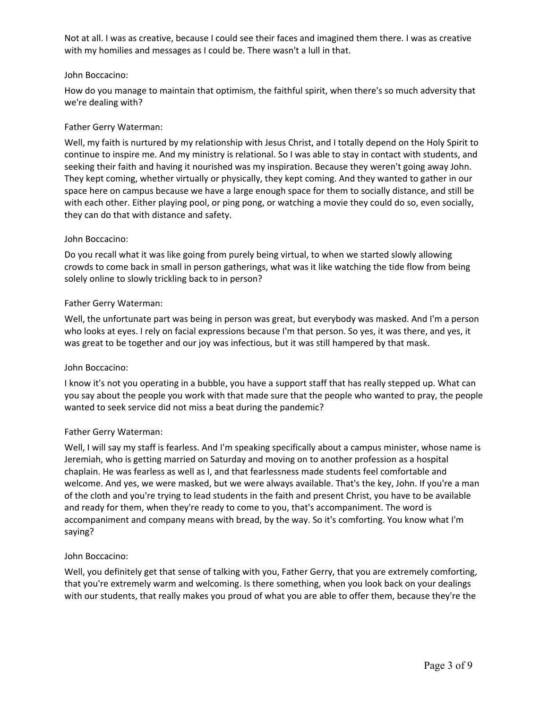Not at all. I was as creative, because I could see their faces and imagined them there. I was as creative with my homilies and messages as I could be. There wasn't a lull in that.

### John Boccacino:

How do you manage to maintain that optimism, the faithful spirit, when there's so much adversity that we're dealing with?

### Father Gerry Waterman:

Well, my faith is nurtured by my relationship with Jesus Christ, and I totally depend on the Holy Spirit to continue to inspire me. And my ministry is relational. So I was able to stay in contact with students, and seeking their faith and having it nourished was my inspiration. Because they weren't going away John. They kept coming, whether virtually or physically, they kept coming. And they wanted to gather in our space here on campus because we have a large enough space for them to socially distance, and still be with each other. Either playing pool, or ping pong, or watching a movie they could do so, even socially, they can do that with distance and safety.

### John Boccacino:

Do you recall what it was like going from purely being virtual, to when we started slowly allowing crowds to come back in small in person gatherings, what was it like watching the tide flow from being solely online to slowly trickling back to in person?

### Father Gerry Waterman:

Well, the unfortunate part was being in person was great, but everybody was masked. And I'm a person who looks at eyes. I rely on facial expressions because I'm that person. So yes, it was there, and yes, it was great to be together and our joy was infectious, but it was still hampered by that mask.

## John Boccacino:

I know it's not you operating in a bubble, you have a support staff that has really stepped up. What can you say about the people you work with that made sure that the people who wanted to pray, the people wanted to seek service did not miss a beat during the pandemic?

## Father Gerry Waterman:

 Well, I will say my staff is fearless. And I'm speaking specifically about a campus minister, whose name is Jeremiah, who is getting married on Saturday and moving on to another profession as a hospital chaplain. He was fearless as well as I, and that fearlessness made students feel comfortable and welcome. And yes, we were masked, but we were always available. That's the key, John. If you're a man of the cloth and you're trying to lead students in the faith and present Christ, you have to be available and ready for them, when they're ready to come to you, that's accompaniment. The word is accompaniment and company means with bread, by the way. So it's comforting. You know what I'm saying?

## John Boccacino:

Well, you definitely get that sense of talking with you, Father Gerry, that you are extremely comforting, that you're extremely warm and welcoming. Is there something, when you look back on your dealings with our students, that really makes you proud of what you are able to offer them, because they're the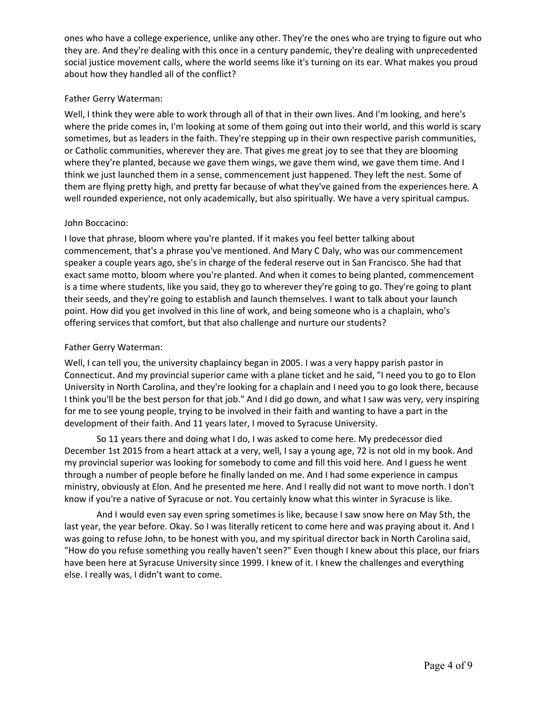ones who have a college experience, unlike any other. They're the ones who are trying to figure out who they are. And they're dealing with this once in a century pandemic, they're dealing with unprecedented social justice movement calls, where the world seems like it's turning on its ear. What makes you proud about how they handled all of the conflict?

# Father Gerry Waterman:

Well, I think they were able to work through all of that in their own lives. And I'm looking, and here's where the pride comes in, I'm looking at some of them going out into their world, and this world is scary sometimes, but as leaders in the faith. They're stepping up in their own respective parish communities, or Catholic communities, wherever they are. That gives me great joy to see that they are blooming where they're planted, because we gave them wings, we gave them wind, we gave them time. And I think we just launched them in a sense, commencement just happened. They left the nest. Some of them are flying pretty high, and pretty far because of what they've gained from the experiences here. A well rounded experience, not only academically, but also spiritually. We have a very spiritual campus.

## John Boccacino:

I love that phrase, bloom where you're planted. If it makes you feel better talking about commencement, that's a phrase you've mentioned. And Mary C Daly, who was our commencement speaker a couple years ago, she's in charge of the federal reserve out in San Francisco. She had that exact same motto, bloom where you're planted. And when it comes to being planted, commencement is a time where students, like you said, they go to wherever they're going to go. They're going to plant their seeds, and they're going to establish and launch themselves. I want to talk about your launch point. How did you get involved in this line of work, and being someone who is a chaplain, who's offering services that comfort, but that also challenge and nurture our students?

# Father Gerry Waterman:

Well, I can tell you, the university chaplaincy began in 2005. I was a very happy parish pastor in Connecticut. And my provincial superior came with a plane ticket and he said, "I need you to go to Elon University in North Carolina, and they're looking for a chaplain and I need you to go look there, because I think you'll be the best person for that job." And I did go down, and what I saw was very, very inspiring for me to see young people, trying to be involved in their faith and wanting to have a part in the development of their faith. And 11 years later, I moved to Syracuse University.

 know if you're a native of Syracuse or not. You certainly know what this winter in Syracuse is like. So 11 years there and doing what I do, I was asked to come here. My predecessor died December 1st 2015 from a heart attack at a very, well, I say a young age, 72 is not old in my book. And my provincial superior was looking for somebody to come and fill this void here. And I guess he went through a number of people before he finally landed on me. And I had some experience in campus ministry, obviously at Elon. And he presented me here. And I really did not want to move north. I don't

 "How do you refuse something you really haven't seen?" Even though I knew about this place, our friars And I would even say even spring sometimes is like, because I saw snow here on May 5th, the last year, the year before. Okay. So I was literally reticent to come here and was praying about it. And I was going to refuse John, to be honest with you, and my spiritual director back in North Carolina said, have been here at Syracuse University since 1999. I knew of it. I knew the challenges and everything else. I really was, I didn't want to come.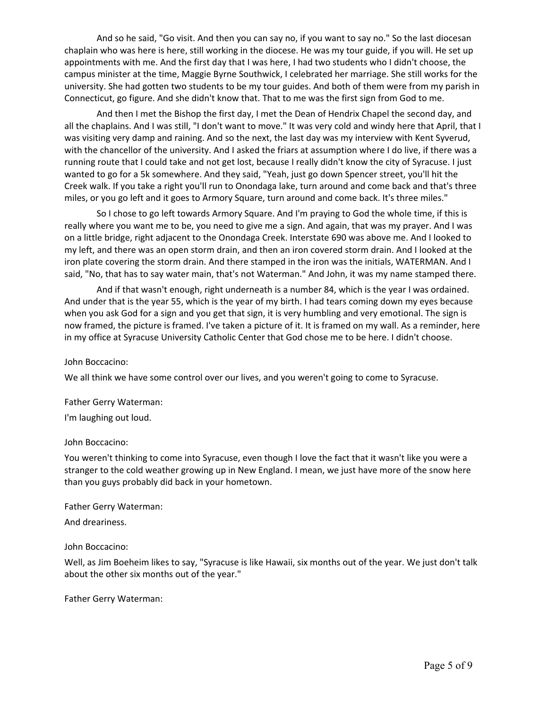And so he said, "Go visit. And then you can say no, if you want to say no." So the last diocesan chaplain who was here is here, still working in the diocese. He was my tour guide, if you will. He set up appointments with me. And the first day that I was here, I had two students who I didn't choose, the campus minister at the time, Maggie Byrne Southwick, I celebrated her marriage. She still works for the university. She had gotten two students to be my tour guides. And both of them were from my parish in Connecticut, go figure. And she didn't know that. That to me was the first sign from God to me.

 all the chaplains. And I was still, "I don't want to move." It was very cold and windy here that April, that I miles, or you go left and it goes to Armory Square, turn around and come back. It's three miles." And then I met the Bishop the first day, I met the Dean of Hendrix Chapel the second day, and was visiting very damp and raining. And so the next, the last day was my interview with Kent Syverud, with the chancellor of the university. And I asked the friars at assumption where I do live, if there was a running route that I could take and not get lost, because I really didn't know the city of Syracuse. I just wanted to go for a 5k somewhere. And they said, "Yeah, just go down Spencer street, you'll hit the Creek walk. If you take a right you'll run to Onondaga lake, turn around and come back and that's three

So I chose to go left towards Armory Square. And I'm praying to God the whole time, if this is really where you want me to be, you need to give me a sign. And again, that was my prayer. And I was on a little bridge, right adjacent to the Onondaga Creek. Interstate 690 was above me. And I looked to my left, and there was an open storm drain, and then an iron covered storm drain. And I looked at the iron plate covering the storm drain. And there stamped in the iron was the initials, WATERMAN. And I said, "No, that has to say water main, that's not Waterman." And John, it was my name stamped there.

 And under that is the year 55, which is the year of my birth. I had tears coming down my eyes because And if that wasn't enough, right underneath is a number 84, which is the year I was ordained. when you ask God for a sign and you get that sign, it is very humbling and very emotional. The sign is now framed, the picture is framed. I've taken a picture of it. It is framed on my wall. As a reminder, here in my office at Syracuse University Catholic Center that God chose me to be here. I didn't choose.

#### John Boccacino:

We all think we have some control over our lives, and you weren't going to come to Syracuse.

#### Father Gerry Waterman:

I'm laughing out loud.

#### John Boccacino:

You weren't thinking to come into Syracuse, even though I love the fact that it wasn't like you were a stranger to the cold weather growing up in New England. I mean, we just have more of the snow here than you guys probably did back in your hometown.

Father Gerry Waterman:

And dreariness.

## John Boccacino:

Well, as Jim Boeheim likes to say, "Syracuse is like Hawaii, six months out of the year. We just don't talk about the other six months out of the year."

## Father Gerry Waterman: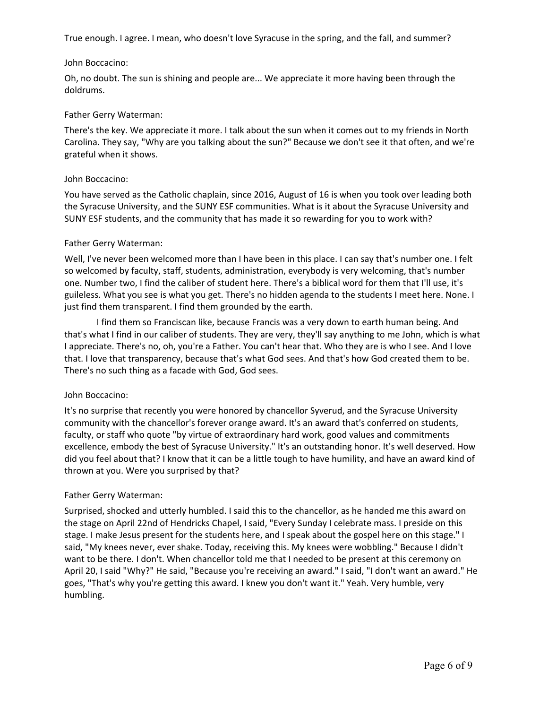True enough. I agree. I mean, who doesn't love Syracuse in the spring, and the fall, and summer?

#### John Boccacino:

Oh, no doubt. The sun is shining and people are... We appreciate it more having been through the doldrums.

### Father Gerry Waterman:

There's the key. We appreciate it more. I talk about the sun when it comes out to my friends in North Carolina. They say, "Why are you talking about the sun?" Because we don't see it that often, and we're grateful when it shows.

### John Boccacino:

You have served as the Catholic chaplain, since 2016, August of 16 is when you took over leading both the Syracuse University, and the SUNY ESF communities. What is it about the Syracuse University and SUNY ESF students, and the community that has made it so rewarding for you to work with?

## Father Gerry Waterman:

Well, I've never been welcomed more than I have been in this place. I can say that's number one. I felt so welcomed by faculty, staff, students, administration, everybody is very welcoming, that's number one. Number two, I find the caliber of student here. There's a biblical word for them that I'll use, it's guileless. What you see is what you get. There's no hidden agenda to the students I meet here. None. I just find them transparent. I find them grounded by the earth.

I find them so Franciscan like, because Francis was a very down to earth human being. And that's what I find in our caliber of students. They are very, they'll say anything to me John, which is what I appreciate. There's no, oh, you're a Father. You can't hear that. Who they are is who I see. And I love that. I love that transparency, because that's what God sees. And that's how God created them to be. There's no such thing as a facade with God, God sees.

## John Boccacino:

It's no surprise that recently you were honored by chancellor Syverud, and the Syracuse University community with the chancellor's forever orange award. It's an award that's conferred on students, faculty, or staff who quote "by virtue of extraordinary hard work, good values and commitments excellence, embody the best of Syracuse University." It's an outstanding honor. It's well deserved. How did you feel about that? I know that it can be a little tough to have humility, and have an award kind of thrown at you. Were you surprised by that?

## Father Gerry Waterman:

Surprised, shocked and utterly humbled. I said this to the chancellor, as he handed me this award on the stage on April 22nd of Hendricks Chapel, I said, "Every Sunday I celebrate mass. I preside on this stage. I make Jesus present for the students here, and I speak about the gospel here on this stage." I said, "My knees never, ever shake. Today, receiving this. My knees were wobbling." Because I didn't want to be there. I don't. When chancellor told me that I needed to be present at this ceremony on April 20, I said "Why?" He said, "Because you're receiving an award." I said, "I don't want an award." He goes, "That's why you're getting this award. I knew you don't want it." Yeah. Very humble, very humbling.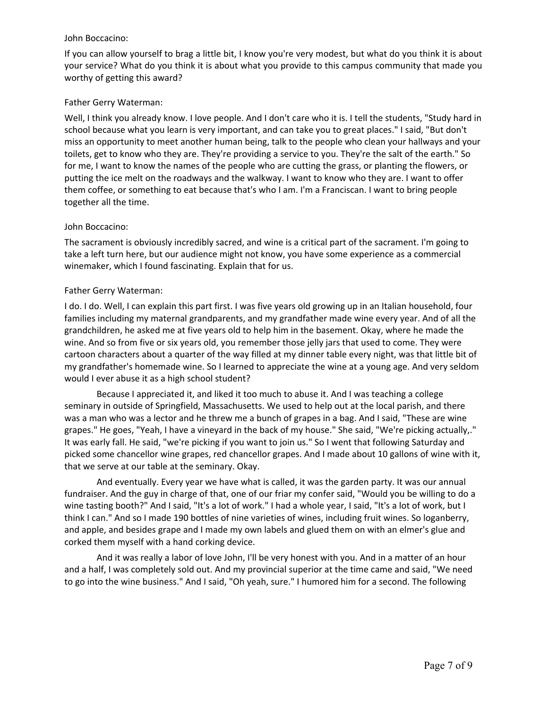### John Boccacino:

If you can allow yourself to brag a little bit, I know you're very modest, but what do you think it is about your service? What do you think it is about what you provide to this campus community that made you worthy of getting this award?

## Father Gerry Waterman:

Well, I think you already know. I love people. And I don't care who it is. I tell the students, "Study hard in school because what you learn is very important, and can take you to great places." I said, "But don't miss an opportunity to meet another human being, talk to the people who clean your hallways and your toilets, get to know who they are. They're providing a service to you. They're the salt of the earth." So for me, I want to know the names of the people who are cutting the grass, or planting the flowers, or putting the ice melt on the roadways and the walkway. I want to know who they are. I want to offer them coffee, or something to eat because that's who I am. I'm a Franciscan. I want to bring people together all the time.

# John Boccacino:

The sacrament is obviously incredibly sacred, and wine is a critical part of the sacrament. I'm going to take a left turn here, but our audience might not know, you have some experience as a commercial winemaker, which I found fascinating. Explain that for us.

# Father Gerry Waterman:

 my grandfather's homemade wine. So I learned to appreciate the wine at a young age. And very seldom I do. I do. Well, I can explain this part first. I was five years old growing up in an Italian household, four families including my maternal grandparents, and my grandfather made wine every year. And of all the grandchildren, he asked me at five years old to help him in the basement. Okay, where he made the wine. And so from five or six years old, you remember those jelly jars that used to come. They were cartoon characters about a quarter of the way filled at my dinner table every night, was that little bit of would I ever abuse it as a high school student?

 grapes." He goes, "Yeah, I have a vineyard in the back of my house." She said, "We're picking actually,." Because I appreciated it, and liked it too much to abuse it. And I was teaching a college seminary in outside of Springfield, Massachusetts. We used to help out at the local parish, and there was a man who was a lector and he threw me a bunch of grapes in a bag. And I said, "These are wine It was early fall. He said, "we're picking if you want to join us." So I went that following Saturday and picked some chancellor wine grapes, red chancellor grapes. And I made about 10 gallons of wine with it, that we serve at our table at the seminary. Okay.

And eventually. Every year we have what is called, it was the garden party. It was our annual fundraiser. And the guy in charge of that, one of our friar my confer said, "Would you be willing to do a wine tasting booth?" And I said, "It's a lot of work." I had a whole year, I said, "It's a lot of work, but I think I can." And so I made 190 bottles of nine varieties of wines, including fruit wines. So loganberry, and apple, and besides grape and I made my own labels and glued them on with an elmer's glue and corked them myself with a hand corking device.

 And it was really a labor of love John, I'll be very honest with you. And in a matter of an hour and a half, I was completely sold out. And my provincial superior at the time came and said, "We need to go into the wine business." And I said, "Oh yeah, sure." I humored him for a second. The following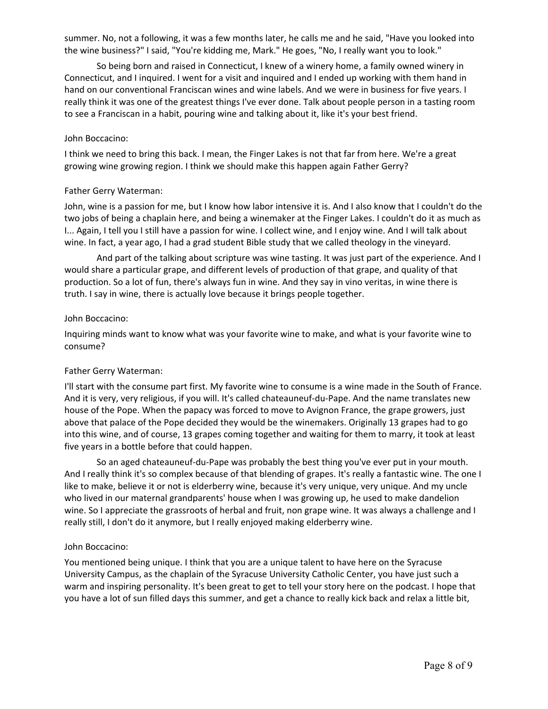summer. No, not a following, it was a few months later, he calls me and he said, "Have you looked into the wine business?" I said, "You're kidding me, Mark." He goes, "No, I really want you to look."

 really think it was one of the greatest things I've ever done. Talk about people person in a tasting room So being born and raised in Connecticut, I knew of a winery home, a family owned winery in Connecticut, and I inquired. I went for a visit and inquired and I ended up working with them hand in hand on our conventional Franciscan wines and wine labels. And we were in business for five years. I to see a Franciscan in a habit, pouring wine and talking about it, like it's your best friend.

### John Boccacino:

I think we need to bring this back. I mean, the Finger Lakes is not that far from here. We're a great growing wine growing region. I think we should make this happen again Father Gerry?

## Father Gerry Waterman:

John, wine is a passion for me, but I know how labor intensive it is. And I also know that I couldn't do the two jobs of being a chaplain here, and being a winemaker at the Finger Lakes. I couldn't do it as much as I... Again, I tell you I still have a passion for wine. I collect wine, and I enjoy wine. And I will talk about wine. In fact, a year ago, I had a grad student Bible study that we called theology in the vineyard.

 production. So a lot of fun, there's always fun in wine. And they say in vino veritas, in wine there is And part of the talking about scripture was wine tasting. It was just part of the experience. And I would share a particular grape, and different levels of production of that grape, and quality of that truth. I say in wine, there is actually love because it brings people together.

### John Boccacino:

Inquiring minds want to know what was your favorite wine to make, and what is your favorite wine to consume?

## Father Gerry Waterman:

I'll start with the consume part first. My favorite wine to consume is a wine made in the South of France. And it is very, very religious, if you will. It's called chateauneuf-du-Pape. And the name translates new house of the Pope. When the papacy was forced to move to Avignon France, the grape growers, just above that palace of the Pope decided they would be the winemakers. Originally 13 grapes had to go into this wine, and of course, 13 grapes coming together and waiting for them to marry, it took at least five years in a bottle before that could happen.

 really still, I don't do it anymore, but I really enjoyed making elderberry wine. So an aged chateauneuf-du-Pape was probably the best thing you've ever put in your mouth. And I really think it's so complex because of that blending of grapes. It's really a fantastic wine. The one I like to make, believe it or not is elderberry wine, because it's very unique, very unique. And my uncle who lived in our maternal grandparents' house when I was growing up, he used to make dandelion wine. So I appreciate the grassroots of herbal and fruit, non grape wine. It was always a challenge and I

## John Boccacino:

You mentioned being unique. I think that you are a unique talent to have here on the Syracuse University Campus, as the chaplain of the Syracuse University Catholic Center, you have just such a warm and inspiring personality. It's been great to get to tell your story here on the podcast. I hope that you have a lot of sun filled days this summer, and get a chance to really kick back and relax a little bit,